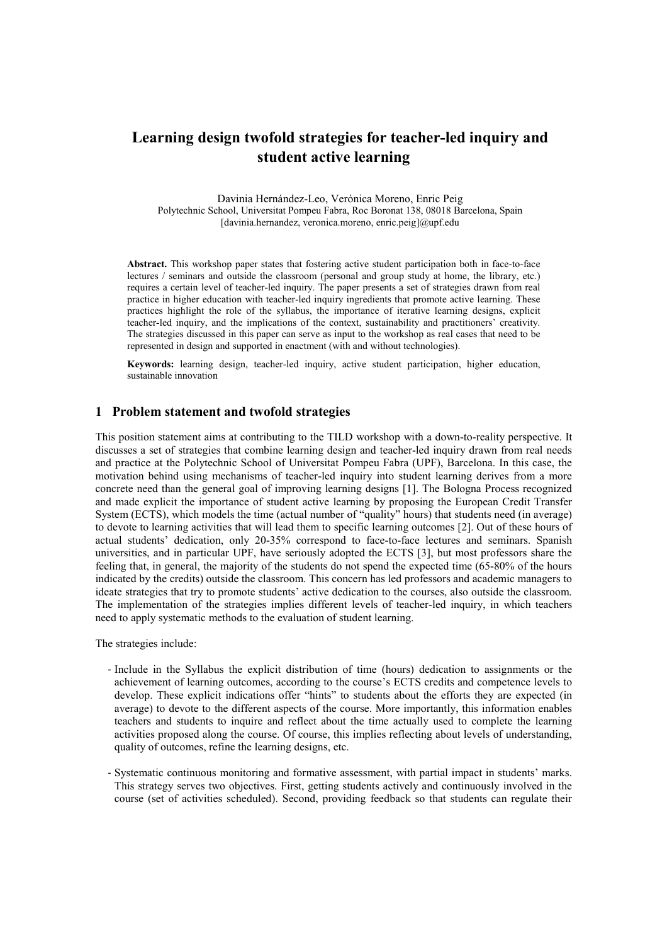## Learning design twofold strategies for teacher-led inquiry and student active learning

Davinia Hernández-Leo, Verónica Moreno, Enric Peig Polytechnic School, Universitat Pompeu Fabra, Roc Boronat 138, 08018 Barcelona, Spain [davinia.hernandez, veronica.moreno, enric.peig]@upf.edu

Abstract. This workshop paper states that fostering active student participation both in face-to-face lectures / seminars and outside the classroom (personal and group study at home, the library, etc.) requires a certain level of teacher-led inquiry. The paper presents a set of strategies drawn from real practice in higher education with teacher-led inquiry ingredients that promote active learning. These practices highlight the role of the syllabus, the importance of iterative learning designs, explicit teacher-led inquiry, and the implications of the context, sustainability and practitioners' creativity. The strategies discussed in this paper can serve as input to the workshop as real cases that need to be represented in design and supported in enactment (with and without technologies).

Keywords: learning design, teacher-led inquiry, active student participation, higher education, sustainable innovation

## 1 Problem statement and twofold strategies

This position statement aims at contributing to the TILD workshop with a down-to-reality perspective. It discusses a set of strategies that combine learning design and teacher-led inquiry drawn from real needs and practice at the Polytechnic School of Universitat Pompeu Fabra (UPF), Barcelona. In this case, the motivation behind using mechanisms of teacher-led inquiry into student learning derives from a more concrete need than the general goal of improving learning designs [1]. The Bologna Process recognized and made explicit the importance of student active learning by proposing the European Credit Transfer System (ECTS), which models the time (actual number of "quality" hours) that students need (in average) to devote to learning activities that will lead them to specific learning outcomes [2]. Out of these hours of actual students' dedication, only 20-35% correspond to face-to-face lectures and seminars. Spanish universities, and in particular UPF, have seriously adopted the ECTS [3], but most professors share the feeling that, in general, the majority of the students do not spend the expected time (65-80% of the hours indicated by the credits) outside the classroom. This concern has led professors and academic managers to ideate strategies that try to promote students' active dedication to the courses, also outside the classroom. The implementation of the strategies implies different levels of teacher-led inquiry, in which teachers need to apply systematic methods to the evaluation of student learning.

The strategies include:

- Include in the Syllabus the explicit distribution of time (hours) dedication to assignments or the achievement of learning outcomes, according to the course's ECTS credits and competence levels to develop. These explicit indications offer "hints" to students about the efforts they are expected (in average) to devote to the different aspects of the course. More importantly, this information enables teachers and students to inquire and reflect about the time actually used to complete the learning activities proposed along the course. Of course, this implies reflecting about levels of understanding, quality of outcomes, refine the learning designs, etc.
- Systematic continuous monitoring and formative assessment, with partial impact in students' marks. This strategy serves two objectives. First, getting students actively and continuously involved in the course (set of activities scheduled). Second, providing feedback so that students can regulate their